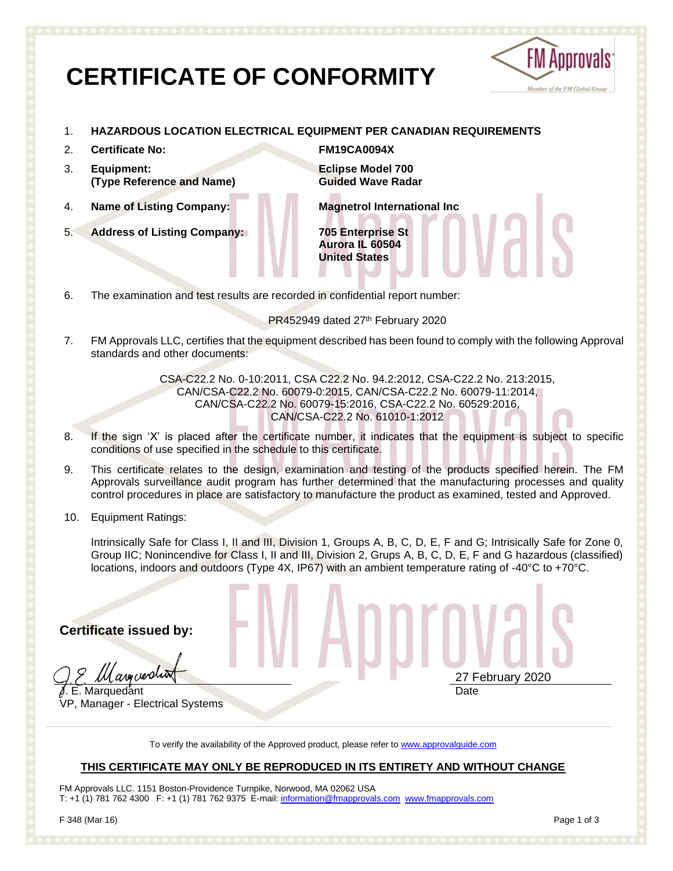# **CERTIFICATE OF CONFORMITY**



### 1. **HAZARDOUS LOCATION ELECTRICAL EQUIPMENT PER CANADIAN REQUIREMENTS**

- 2. **Certificate No: FM19CA0094X**
- 3. **Equipment: (Type Reference and Name)**
- 
- 5. **Address of Listing Company: 705 Enterprise St**

**Eclipse Model 700** 

**Guided Wave Radar**

4. **Name of Listing Company: Magnetrol International Inc**

**Aurora IL 60504 United States**

6. The examination and test results are recorded in confidential report number:

PR452949 dated 27th February 2020

7. FM Approvals LLC, certifies that the equipment described has been found to comply with the following Approval standards and other documents:

> CSA-C22.2 No. 0-10:2011, CSA C22.2 No. 94.2:2012, CSA-C22.2 No. 213:2015, CAN/CSA-C22.2 No. 60079-0:2015, CAN/CSA-C22.2 No. 60079-11:2014, CAN/CSA-C22.2 No. 60079-15:2016, CSA-C22.2 No. 60529:2016, CAN/CSA-C22.2 No. 61010-1:2012

- 8. If the sign 'X' is placed after the certificate number, it indicates that the equipment is subject to specific conditions of use specified in the schedule to this certificate.
- 9. This certificate relates to the design, examination and testing of the products specified herein. The FM Approvals surveillance audit program has further determined that the manufacturing processes and quality control procedures in place are satisfactory to manufacture the product as examined, tested and Approved.
- 10. Equipment Ratings:

Intrinsically Safe for Class I, II and III, Division 1, Groups A, B, C, D, E, F and G; Intrisically Safe for Zone 0, Group IIC; Nonincendive for Class I, II and III, Division 2, Grups A, B, C, D, E, F and G hazardous (classified) locations, indoors and outdoors (Type 4X, IP67) with an ambient temperature rating of -40°C to +70°C.

**Certificate issued by:**

argueration **J. E. Marquedant** 

VP, Manager - Electrical Systems

To verify the availability of the Approved product, please refer to [www.approvalguide.com](http://www.approvalguide.com/)

### **THIS CERTIFICATE MAY ONLY BE REPRODUCED IN ITS ENTIRETY AND WITHOUT CHANGE**

FM Approvals LLC. 1151 Boston-Providence Turnpike, Norwood, MA 02062 USA T: +1 (1) 781 762 4300 F: +1 (1) 781 762 9375 E-mail[: information@fmapprovals.com](mailto:information@fmapprovals.com) [www.fmapprovals.com](http://www.fmapprovals.com/)

27 February 2020

Date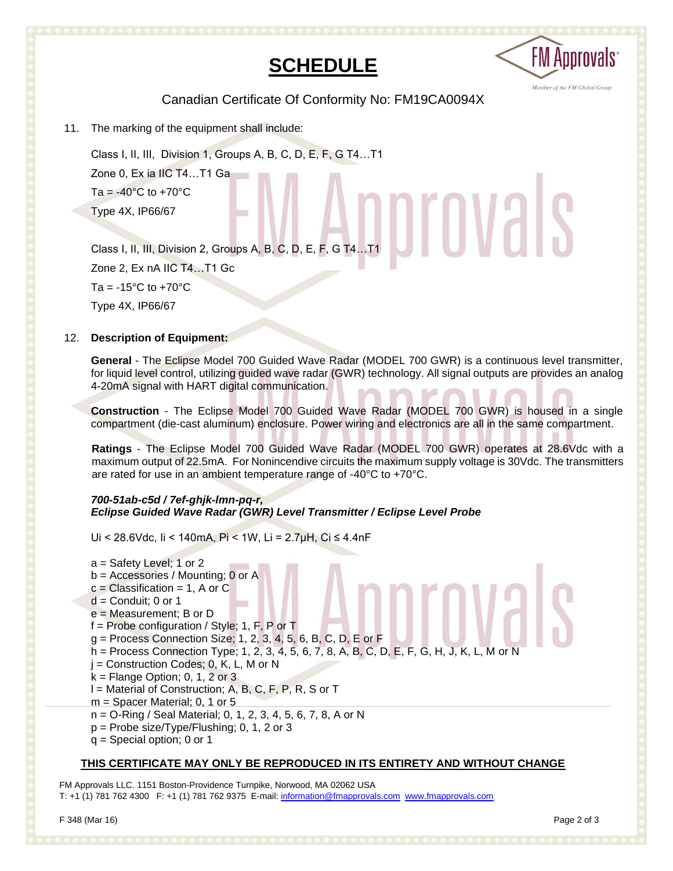# **SCHEDULE**



Canadian Certificate Of Conformity No: FM19CA0094X

11. The marking of the equipment shall include:

Class I, II, III, Division 1, Groups A, B, C, D, E, F, G T4…T1 Zone 0, Ex ia IIC T4…T1 Ga Ta =  $-40^{\circ}$ C to  $+70^{\circ}$ C Type 4X, IP66/67 Type 4X, IP66/67<br>Class I, II, III, Division 2, Groups A, B, C, D, E, F, G T4…T1

Zone 2, Ex nA IIC T4…T1 Gc Ta =  $-15^{\circ}$ C to  $+70^{\circ}$ C

Type 4X, IP66/67

### 12. **Description of Equipment:**

**General** - The Eclipse Model 700 Guided Wave Radar (MODEL 700 GWR) is a continuous level transmitter, for liquid level control, utilizing guided wave radar (GWR) technology. All signal outputs are provides an analog 4-20mA signal with HART digital communication.

**Construction** - The Eclipse Model 700 Guided Wave Radar (MODEL 700 GWR) is housed in a single compartment (die-cast aluminum) enclosure. Power wiring and electronics are all in the same compartment.

**Ratings** - The Eclipse Model 700 Guided Wave Radar (MODEL 700 GWR) operates at 28.6Vdc with a maximum output of 22.5mA. For Nonincendive circuits the maximum supply voltage is 30Vdc. The transmitters are rated for use in an ambient temperature range of -40°C to +70°C.

### *700-51ab-c5d / 7ef-ghjk-lmn-pq-r, Eclipse Guided Wave Radar (GWR) Level Transmitter / Eclipse Level Probe*

Ui < 28.6Vdc, Ii < 140mA, Pi < 1W, Li = 2.7µH, Ci ≤ 4.4nF

a = Safety Level; 1 or 2 b = Accessories / Mounting; 0 or A  $c =$  Classification = 1, A or C  $d =$  Conduit: 0 or 1 e = Measurement; B or D f = Probe configuration / Style; 1, F, P or T g = Process Connection Size; 1, 2, 3, 4, 5, 6, B, C, D, E or F h = Process Connection Type; 1, 2, 3, 4, 5, 6, 7, 8, A, B, C, D, E, F, G, H, J, K, L, M or N  $j =$  Construction Codes; 0, K, L, M or N  $k =$  Flange Option; 0, 1, 2 or 3 l = Material of Construction; A, B, C, F, P, R, S or T m = Spacer Material; 0, 1 or 5 n = O-Ring / Seal Material; 0, 1, 2, 3, 4, 5, 6, 7, 8, A or N p = Probe size/Type/Flushing; 0, 1, 2 or 3 q = Special option; 0 or 1

### **THIS CERTIFICATE MAY ONLY BE REPRODUCED IN ITS ENTIRETY AND WITHOUT CHANGE**

FM Approvals LLC. 1151 Boston-Providence Turnpike, Norwood, MA 02062 USA T: +1 (1) 781 762 4300 F: +1 (1) 781 762 9375 E-mail[: information@fmapprovals.com](mailto:information@fmapprovals.com) [www.fmapprovals.com](http://www.fmapprovals.com/)